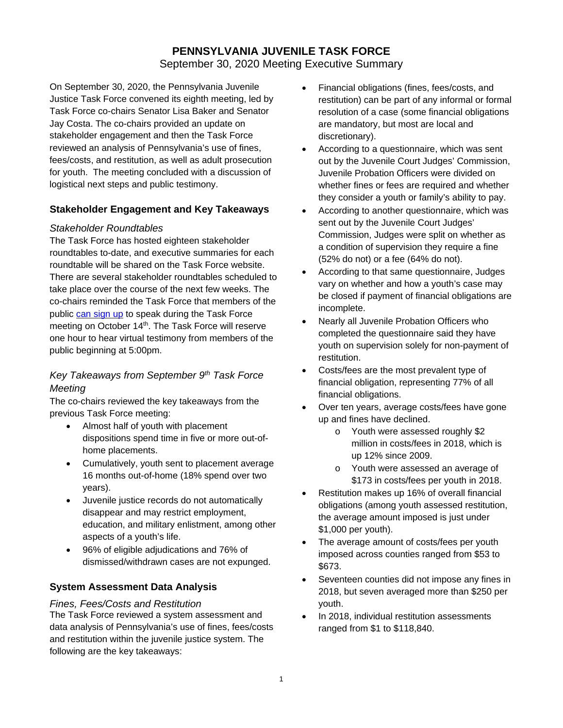# **PENNSYLVANIA JUVENILE TASK FORCE** September 30, 2020 Meeting Executive Summary

On September 30, 2020, the Pennsylvania Juvenile Justice Task Force convened its eighth meeting, led by Task Force co-chairs Senator Lisa Baker and Senator Jay Costa. The co-chairs provided an update on stakeholder engagement and then the Task Force reviewed an analysis of Pennsylvania's use of fines, fees/costs, and restitution, as well as adult prosecution for youth. The meeting concluded with a discussion of logistical next steps and public testimony.

## **Stakeholder Engagement and Key Takeaways**

## *Stakeholder Roundtables*

The Task Force has hosted eighteen stakeholder roundtables to-date, and executive summaries for each roundtable will be shared on the Task Force website. There are several stakeholder roundtables scheduled to take place over the course of the next few weeks. The co-chairs reminded the Task Force that members of the public [can sign up](https://surveys.az1.qualtrics.com/jfe/form/SV_6r2DP3xhZym8oE5) to speak during the Task Force meeting on October 14<sup>th</sup>. The Task Force will reserve one hour to hear virtual testimony from members of the public beginning at 5:00pm.

## *Key Takeaways from September 9th Task Force Meeting*

The co-chairs reviewed the key takeaways from the previous Task Force meeting:

- Almost half of youth with placement dispositions spend time in five or more out-ofhome placements.
- Cumulatively, youth sent to placement average 16 months out-of-home (18% spend over two years).
- Juvenile justice records do not automatically disappear and may restrict employment, education, and military enlistment, among other aspects of a youth's life.
- 96% of eligible adjudications and 76% of dismissed/withdrawn cases are not expunged.

## **System Assessment Data Analysis**

## *Fines, Fees/Costs and Restitution*

The Task Force reviewed a system assessment and data analysis of Pennsylvania's use of fines, fees/costs and restitution within the juvenile justice system. The following are the key takeaways:

- Financial obligations (fines, fees/costs, and restitution) can be part of any informal or formal resolution of a case (some financial obligations are mandatory, but most are local and discretionary).
- According to a questionnaire, which was sent out by the Juvenile Court Judges' Commission, Juvenile Probation Officers were divided on whether fines or fees are required and whether they consider a youth or family's ability to pay.
- According to another questionnaire, which was sent out by the Juvenile Court Judges' Commission, Judges were split on whether as a condition of supervision they require a fine (52% do not) or a fee (64% do not).
- According to that same questionnaire, Judges vary on whether and how a youth's case may be closed if payment of financial obligations are incomplete.
- Nearly all Juvenile Probation Officers who completed the questionnaire said they have youth on supervision solely for non-payment of restitution.
- Costs/fees are the most prevalent type of financial obligation, representing 77% of all financial obligations.
- Over ten years, average costs/fees have gone up and fines have declined.
	- o Youth were assessed roughly \$2 million in costs/fees in 2018, which is up 12% since 2009.
	- o Youth were assessed an average of \$173 in costs/fees per youth in 2018.
- Restitution makes up 16% of overall financial obligations (among youth assessed restitution, the average amount imposed is just under \$1,000 per youth).
- The average amount of costs/fees per youth imposed across counties ranged from \$53 to \$673.
- Seventeen counties did not impose any fines in 2018, but seven averaged more than \$250 per youth.
- In 2018, individual restitution assessments ranged from \$1 to \$118,840.